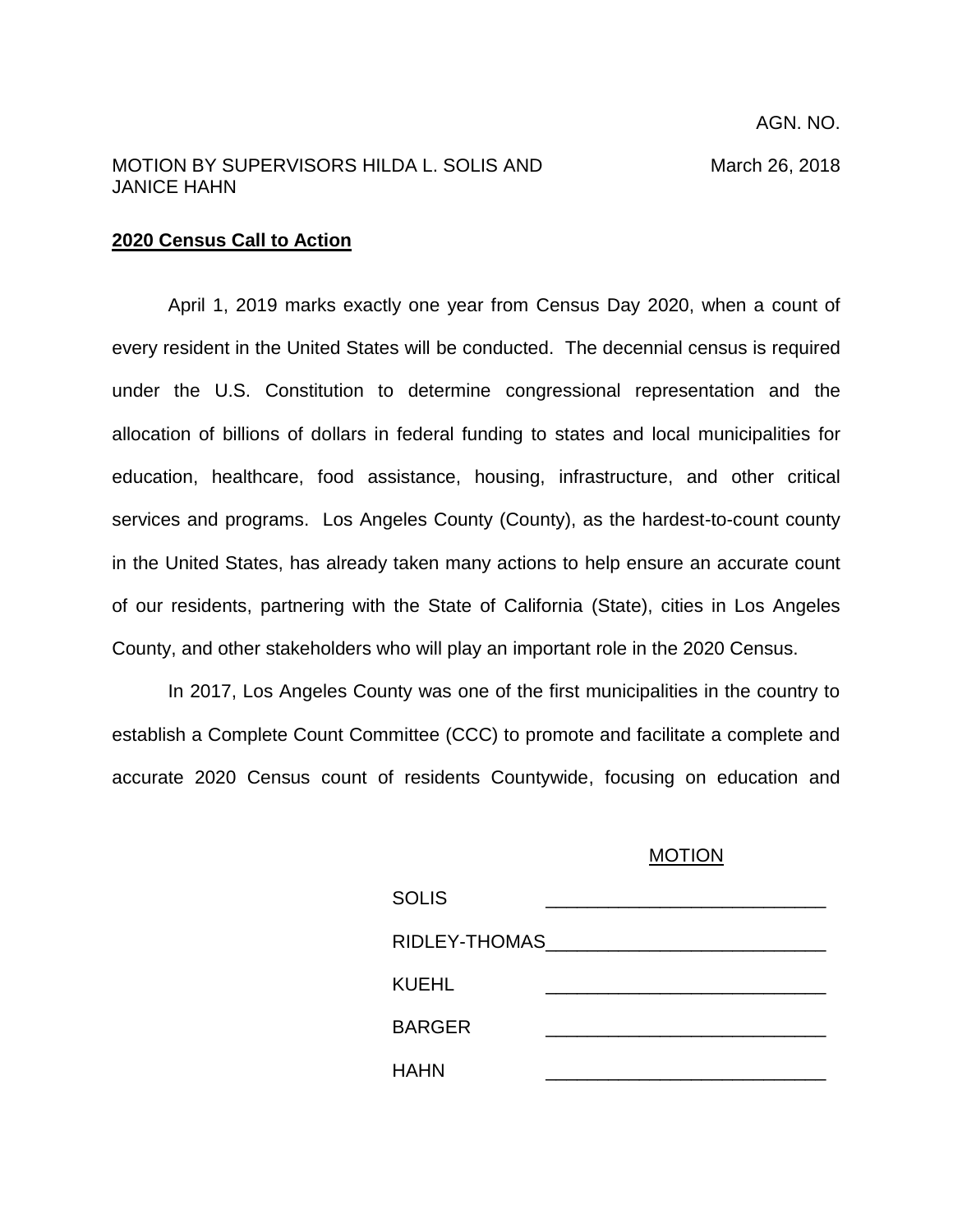## MOTION BY SUPERVISORS HILDA L. SOLIS AND March 26, 2018 JANICE HAHN

## **2020 Census Call to Action**

April 1, 2019 marks exactly one year from Census Day 2020, when a count of every resident in the United States will be conducted. The decennial census is required under the U.S. Constitution to determine congressional representation and the allocation of billions of dollars in federal funding to states and local municipalities for education, healthcare, food assistance, housing, infrastructure, and other critical services and programs. Los Angeles County (County), as the hardest-to-count county in the United States, has already taken many actions to help ensure an accurate count of our residents, partnering with the State of California (State), cities in Los Angeles County, and other stakeholders who will play an important role in the 2020 Census.

In 2017, Los Angeles County was one of the first municipalities in the country to establish a Complete Count Committee (CCC) to promote and facilitate a complete and accurate 2020 Census count of residents Countywide, focusing on education and

## MOTION

| <b>SOLIS</b>  |  |
|---------------|--|
| RIDLEY-THOMAS |  |
| KUEHL         |  |
| <b>BARGER</b> |  |
| <b>HAHN</b>   |  |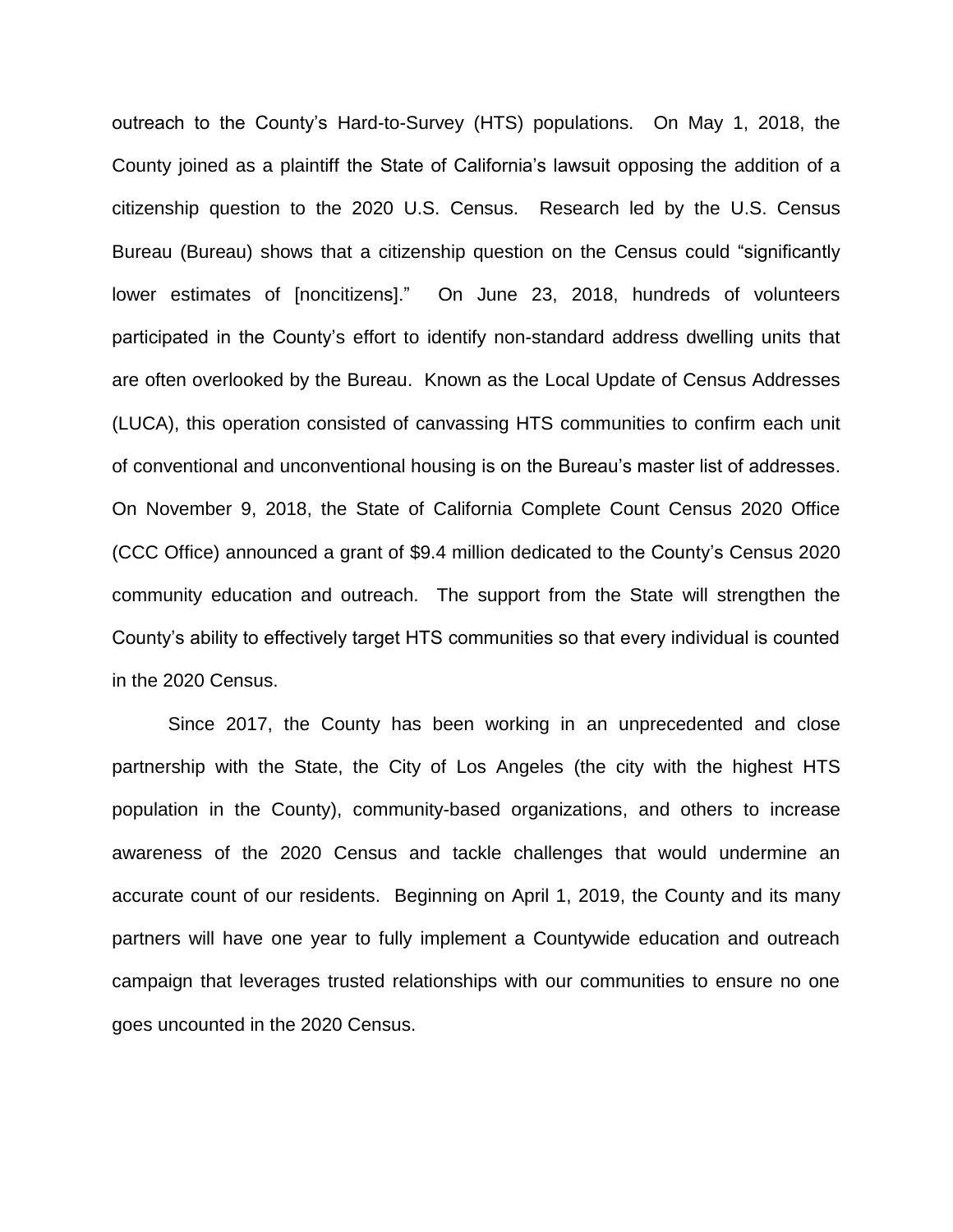outreach to the County's Hard-to-Survey (HTS) populations. On May 1, 2018, the County joined as a plaintiff the State of California's lawsuit opposing the addition of a citizenship question to the 2020 U.S. Census. Research led by the U.S. Census Bureau (Bureau) shows that a citizenship question on the Census could "significantly lower estimates of [noncitizens]." On June 23, 2018, hundreds of volunteers participated in the County's effort to identify non-standard address dwelling units that are often overlooked by the Bureau. Known as the Local Update of Census Addresses (LUCA), this operation consisted of canvassing HTS communities to confirm each unit of conventional and unconventional housing is on the Bureau's master list of addresses. On November 9, 2018, the State of California Complete Count Census 2020 Office (CCC Office) announced a grant of \$9.4 million dedicated to the County's Census 2020 community education and outreach. The support from the State will strengthen the County's ability to effectively target HTS communities so that every individual is counted in the 2020 Census.

Since 2017, the County has been working in an unprecedented and close partnership with the State, the City of Los Angeles (the city with the highest HTS population in the County), community-based organizations, and others to increase awareness of the 2020 Census and tackle challenges that would undermine an accurate count of our residents. Beginning on April 1, 2019, the County and its many partners will have one year to fully implement a Countywide education and outreach campaign that leverages trusted relationships with our communities to ensure no one goes uncounted in the 2020 Census.